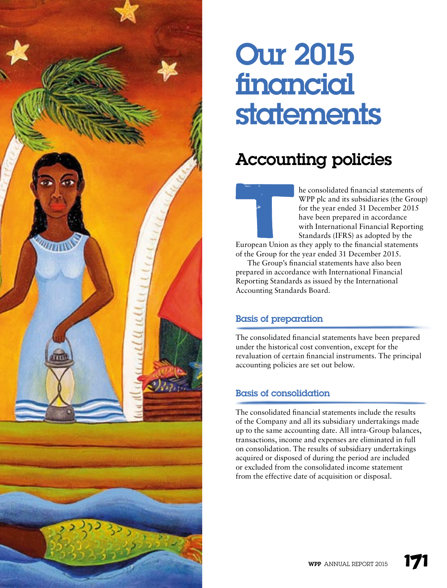

# Our 2015 financial statements

# Accounting policies

he consolidated financial statements of WPP plc and its subsidiaries (the Group) for the year ended 31 December 2015 have been prepared in accordance with International Financial Reporting Standards (IFRS) as adopted by the

European Union as they apply to the financial statements of the Group for the year ended 31 December 2015.

The Group's financial statements have also been prepared in accordance with International Financial Reporting Standards as issued by the International Accounting Standards Board.

# Basis of preparation

The consolidated financial statements have been prepared under the historical cost convention, except for the revaluation of certain financial instruments. The principal accounting policies are set out below.

#### Basis of consolidation

The consolidated financial statements include the results of the Company and all its subsidiary undertakings made up to the same accounting date. All intra-Group balances, transactions, income and expenses are eliminated in full on consolidation. The results of subsidiary undertakings acquired or disposed of during the period are included or excluded from the consolidated income statement from the effective date of acquisition or disposal.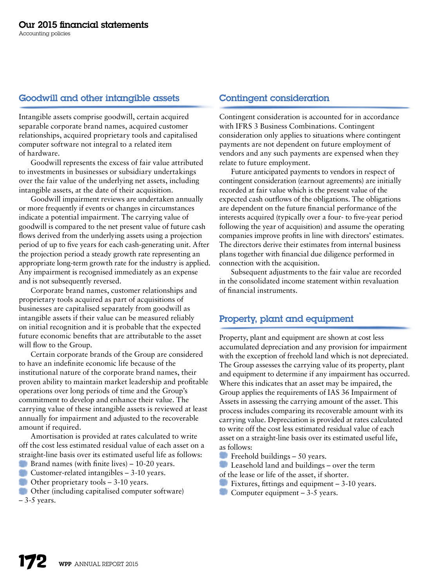#### Goodwill and other intangible assets

Intangible assets comprise goodwill, certain acquired separable corporate brand names, acquired customer relationships, acquired proprietary tools and capitalised computer software not integral to a related item of hardware.

Goodwill represents the excess of fair value attributed to investments in businesses or subsidiary undertakings over the fair value of the underlying net assets, including intangible assets, at the date of their acquisition.

Goodwill impairment reviews are undertaken annually or more frequently if events or changes in circumstances indicate a potential impairment. The carrying value of goodwill is compared to the net present value of future cash flows derived from the underlying assets using a projection period of up to five years for each cash-generating unit. After the projection period a steady growth rate representing an appropriate long-term growth rate for the industry is applied. Any impairment is recognised immediately as an expense and is not subsequently reversed.

Corporate brand names, customer relationships and proprietary tools acquired as part of acquisitions of businesses are capitalised separately from goodwill as intangible assets if their value can be measured reliably on initial recognition and it is probable that the expected future economic benefits that are attributable to the asset will flow to the Group.

Certain corporate brands of the Group are considered to have an indefinite economic life because of the institutional nature of the corporate brand names, their proven ability to maintain market leadership and profitable operations over long periods of time and the Group's commitment to develop and enhance their value. The carrying value of these intangible assets is reviewed at least annually for impairment and adjusted to the recoverable amount if required.

Amortisation is provided at rates calculated to write off the cost less estimated residual value of each asset on a straight-line basis over its estimated useful life as follows:

- Brand names (with finite lives) 10-20 years.
- **Customer-related intangibles 3-10 years.**
- Other proprietary tools 3-10 years.
- Other (including capitalised computer software)
- $-3-5$  years.

#### Contingent consideration

Contingent consideration is accounted for in accordance with IFRS 3 Business Combinations. Contingent consideration only applies to situations where contingent payments are not dependent on future employment of vendors and any such payments are expensed when they relate to future employment.

Future anticipated payments to vendors in respect of contingent consideration (earnout agreements) are initially recorded at fair value which is the present value of the expected cash outflows of the obligations. The obligations are dependent on the future financial performance of the interests acquired (typically over a four- to five-year period following the year of acquisition) and assume the operating companies improve profits in line with directors' estimates. The directors derive their estimates from internal business plans together with financial due diligence performed in connection with the acquisition.

Subsequent adjustments to the fair value are recorded in the consolidated income statement within revaluation of financial instruments.

#### Property, plant and equipment

Property, plant and equipment are shown at cost less accumulated depreciation and any provision for impairment with the exception of freehold land which is not depreciated. The Group assesses the carrying value of its property, plant and equipment to determine if any impairment has occurred. Where this indicates that an asset may be impaired, the Group applies the requirements of IAS 36 Impairment of Assets in assessing the carrying amount of the asset. This process includes comparing its recoverable amount with its carrying value. Depreciation is provided at rates calculated to write off the cost less estimated residual value of each asset on a straight-line basis over its estimated useful life, as follows:

- Freehold buildings 50 years.
- Leasehold land and buildings over the term
- of the lease or life of the asset, if shorter.
- Fixtures, fittings and equipment 3-10 years.
- Computer equipment  $-3-5$  years.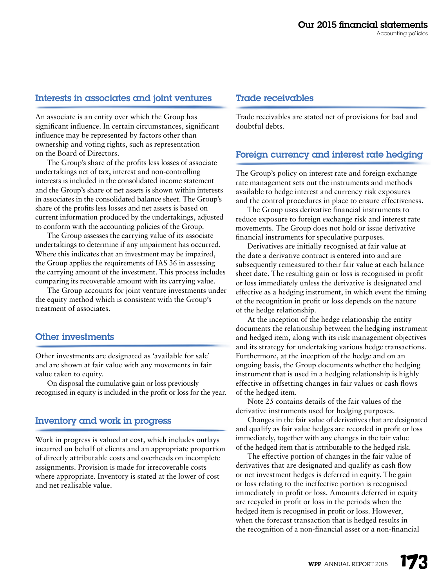#### Interests in associates and joint ventures

An associate is an entity over which the Group has significant influence. In certain circumstances, significant influence may be represented by factors other than ownership and voting rights, such as representation on the Board of Directors.

The Group's share of the profits less losses of associate undertakings net of tax, interest and non-controlling interests is included in the consolidated income statement and the Group's share of net assets is shown within interests in associates in the consolidated balance sheet. The Group's share of the profits less losses and net assets is based on current information produced by the undertakings, adjusted to conform with the accounting policies of the Group.

The Group assesses the carrying value of its associate undertakings to determine if any impairment has occurred. Where this indicates that an investment may be impaired, the Group applies the requirements of IAS 36 in assessing the carrying amount of the investment. This process includes comparing its recoverable amount with its carrying value.

The Group accounts for joint venture investments under the equity method which is consistent with the Group's treatment of associates.

#### Other investments

Other investments are designated as 'available for sale' and are shown at fair value with any movements in fair value taken to equity.

On disposal the cumulative gain or loss previously recognised in equity is included in the profit or loss for the year.

#### Inventory and work in progress

Work in progress is valued at cost, which includes outlays incurred on behalf of clients and an appropriate proportion of directly attributable costs and overheads on incomplete assignments. Provision is made for irrecoverable costs where appropriate. Inventory is stated at the lower of cost and net realisable value.

#### Trade receivables

Trade receivables are stated net of provisions for bad and doubtful debts.

#### Foreign currency and interest rate hedging

The Group's policy on interest rate and foreign exchange rate management sets out the instruments and methods available to hedge interest and currency risk exposures and the control procedures in place to ensure effectiveness.

The Group uses derivative financial instruments to reduce exposure to foreign exchange risk and interest rate movements. The Group does not hold or issue derivative financial instruments for speculative purposes.

Derivatives are initially recognised at fair value at the date a derivative contract is entered into and are subsequently remeasured to their fair value at each balance sheet date. The resulting gain or loss is recognised in profit or loss immediately unless the derivative is designated and effective as a hedging instrument, in which event the timing of the recognition in profit or loss depends on the nature of the hedge relationship.

At the inception of the hedge relationship the entity documents the relationship between the hedging instrument and hedged item, along with its risk management objectives and its strategy for undertaking various hedge transactions. Furthermore, at the inception of the hedge and on an ongoing basis, the Group documents whether the hedging instrument that is used in a hedging relationship is highly effective in offsetting changes in fair values or cash flows of the hedged item.

Note 25 contains details of the fair values of the derivative instruments used for hedging purposes.

Changes in the fair value of derivatives that are designated and qualify as fair value hedges are recorded in profit or loss immediately, together with any changes in the fair value of the hedged item that is attributable to the hedged risk.

The effective portion of changes in the fair value of derivatives that are designated and qualify as cash flow or net investment hedges is deferred in equity. The gain or loss relating to the ineffective portion is recognised immediately in profit or loss. Amounts deferred in equity are recycled in profit or loss in the periods when the hedged item is recognised in profit or loss. However, when the forecast transaction that is hedged results in the recognition of a non-financial asset or a non-financial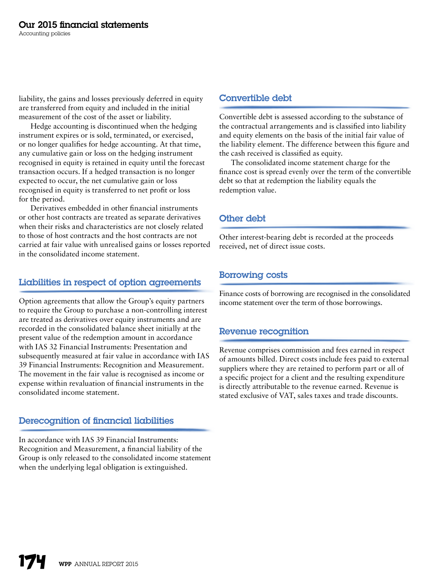liability, the gains and losses previously deferred in equity are transferred from equity and included in the initial measurement of the cost of the asset or liability.

Hedge accounting is discontinued when the hedging instrument expires or is sold, terminated, or exercised, or no longer qualifies for hedge accounting. At that time, any cumulative gain or loss on the hedging instrument recognised in equity is retained in equity until the forecast transaction occurs. If a hedged transaction is no longer expected to occur, the net cumulative gain or loss recognised in equity is transferred to net profit or loss for the period.

Derivatives embedded in other financial instruments or other host contracts are treated as separate derivatives when their risks and characteristics are not closely related to those of host contracts and the host contracts are not carried at fair value with unrealised gains or losses reported in the consolidated income statement.

#### Liabilities in respect of option agreements

Option agreements that allow the Group's equity partners to require the Group to purchase a non-controlling interest are treated as derivatives over equity instruments and are recorded in the consolidated balance sheet initially at the present value of the redemption amount in accordance with IAS 32 Financial Instruments: Presentation and subsequently measured at fair value in accordance with IAS 39 Financial Instruments: Recognition and Measurement. The movement in the fair value is recognised as income or expense within revaluation of financial instruments in the consolidated income statement.

#### Derecognition of financial liabilities

In accordance with IAS 39 Financial Instruments: Recognition and Measurement, a financial liability of the Group is only released to the consolidated income statement when the underlying legal obligation is extinguished.

#### Convertible debt

Convertible debt is assessed according to the substance of the contractual arrangements and is classified into liability and equity elements on the basis of the initial fair value of the liability element. The difference between this figure and the cash received is classified as equity.

The consolidated income statement charge for the finance cost is spread evenly over the term of the convertible debt so that at redemption the liability equals the redemption value.

#### Other debt

Other interest-bearing debt is recorded at the proceeds received, net of direct issue costs.

#### Borrowing costs

Finance costs of borrowing are recognised in the consolidated income statement over the term of those borrowings.

#### Revenue recognition

Revenue comprises commission and fees earned in respect of amounts billed. Direct costs include fees paid to external suppliers where they are retained to perform part or all of a specific project for a client and the resulting expenditure is directly attributable to the revenue earned. Revenue is stated exclusive of VAT, sales taxes and trade discounts.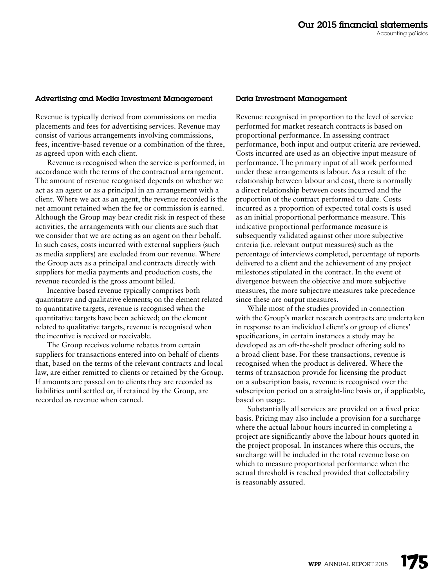#### Advertising and Media Investment Management

Revenue is typically derived from commissions on media placements and fees for advertising services. Revenue may consist of various arrangements involving commissions, fees, incentive-based revenue or a combination of the three, as agreed upon with each client.

Revenue is recognised when the service is performed, in accordance with the terms of the contractual arrangement. The amount of revenue recognised depends on whether we act as an agent or as a principal in an arrangement with a client. Where we act as an agent, the revenue recorded is the net amount retained when the fee or commission is earned. Although the Group may bear credit risk in respect of these activities, the arrangements with our clients are such that we consider that we are acting as an agent on their behalf. In such cases, costs incurred with external suppliers (such as media suppliers) are excluded from our revenue. Where the Group acts as a principal and contracts directly with suppliers for media payments and production costs, the revenue recorded is the gross amount billed.

Incentive-based revenue typically comprises both quantitative and qualitative elements; on the element related to quantitative targets, revenue is recognised when the quantitative targets have been achieved; on the element related to qualitative targets, revenue is recognised when the incentive is received or receivable.

The Group receives volume rebates from certain suppliers for transactions entered into on behalf of clients that, based on the terms of the relevant contracts and local law, are either remitted to clients or retained by the Group. If amounts are passed on to clients they are recorded as liabilities until settled or, if retained by the Group, are recorded as revenue when earned.

#### Data Investment Management

Revenue recognised in proportion to the level of service performed for market research contracts is based on proportional performance. In assessing contract performance, both input and output criteria are reviewed. Costs incurred are used as an objective input measure of performance. The primary input of all work performed under these arrangements is labour. As a result of the relationship between labour and cost, there is normally a direct relationship between costs incurred and the proportion of the contract performed to date. Costs incurred as a proportion of expected total costs is used as an initial proportional performance measure. This indicative proportional performance measure is subsequently validated against other more subjective criteria (i.e. relevant output measures) such as the percentage of interviews completed, percentage of reports delivered to a client and the achievement of any project milestones stipulated in the contract. In the event of divergence between the objective and more subjective measures, the more subjective measures take precedence since these are output measures.

While most of the studies provided in connection with the Group's market research contracts are undertaken in response to an individual client's or group of clients' specifications, in certain instances a study may be developed as an off-the-shelf product offering sold to a broad client base. For these transactions, revenue is recognised when the product is delivered. Where the terms of transaction provide for licensing the product on a subscription basis, revenue is recognised over the subscription period on a straight-line basis or, if applicable, based on usage.

Substantially all services are provided on a fixed price basis. Pricing may also include a provision for a surcharge where the actual labour hours incurred in completing a project are significantly above the labour hours quoted in the project proposal. In instances where this occurs, the surcharge will be included in the total revenue base on which to measure proportional performance when the actual threshold is reached provided that collectability is reasonably assured.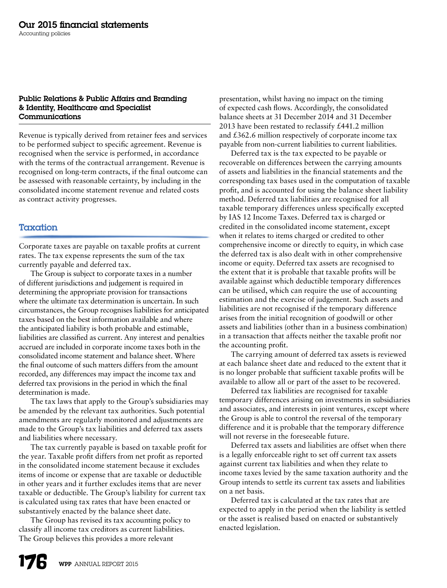#### Public Relations & Public Affairs and Branding & Identity, Healthcare and Specialist Communications

Revenue is typically derived from retainer fees and services to be performed subject to specific agreement. Revenue is recognised when the service is performed, in accordance with the terms of the contractual arrangement. Revenue is recognised on long-term contracts, if the final outcome can be assessed with reasonable certainty, by including in the consolidated income statement revenue and related costs as contract activity progresses.

#### **Taxation**

Corporate taxes are payable on taxable profits at current rates. The tax expense represents the sum of the tax currently payable and deferred tax.

The Group is subject to corporate taxes in a number of different jurisdictions and judgement is required in determining the appropriate provision for transactions where the ultimate tax determination is uncertain. In such circumstances, the Group recognises liabilities for anticipated taxes based on the best information available and where the anticipated liability is both probable and estimable, liabilities are classified as current. Any interest and penalties accrued are included in corporate income taxes both in the consolidated income statement and balance sheet. Where the final outcome of such matters differs from the amount recorded, any differences may impact the income tax and deferred tax provisions in the period in which the final determination is made.

The tax laws that apply to the Group's subsidiaries may be amended by the relevant tax authorities. Such potential amendments are regularly monitored and adjustments are made to the Group's tax liabilities and deferred tax assets and liabilities where necessary.

The tax currently payable is based on taxable profit for the year. Taxable profit differs from net profit as reported in the consolidated income statement because it excludes items of income or expense that are taxable or deductible in other years and it further excludes items that are never taxable or deductible. The Group's liability for current tax is calculated using tax rates that have been enacted or substantively enacted by the balance sheet date.

The Group has revised its tax accounting policy to classify all income tax creditors as current liabilities. The Group believes this provides a more relevant

presentation, whilst having no impact on the timing of expected cash flows. Accordingly, the consolidated balance sheets at 31 December 2014 and 31 December 2013 have been restated to reclassify £441.2 million and £362.6 million respectively of corporate income tax payable from non-current liabilities to current liabilities.

Deferred tax is the tax expected to be payable or recoverable on differences between the carrying amounts of assets and liabilities in the financial statements and the corresponding tax bases used in the computation of taxable profit, and is accounted for using the balance sheet liability method. Deferred tax liabilities are recognised for all taxable temporary differences unless specifically excepted by IAS 12 Income Taxes. Deferred tax is charged or credited in the consolidated income statement, except when it relates to items charged or credited to other comprehensive income or directly to equity, in which case the deferred tax is also dealt with in other comprehensive income or equity. Deferred tax assets are recognised to the extent that it is probable that taxable profits will be available against which deductible temporary differences can be utilised, which can require the use of accounting estimation and the exercise of judgement. Such assets and liabilities are not recognised if the temporary difference arises from the initial recognition of goodwill or other assets and liabilities (other than in a business combination) in a transaction that affects neither the taxable profit nor the accounting profit.

The carrying amount of deferred tax assets is reviewed at each balance sheet date and reduced to the extent that it is no longer probable that sufficient taxable profits will be available to allow all or part of the asset to be recovered.

Deferred tax liabilities are recognised for taxable temporary differences arising on investments in subsidiaries and associates, and interests in joint ventures, except where the Group is able to control the reversal of the temporary difference and it is probable that the temporary difference will not reverse in the foreseeable future.

Deferred tax assets and liabilities are offset when there is a legally enforceable right to set off current tax assets against current tax liabilities and when they relate to income taxes levied by the same taxation authority and the Group intends to settle its current tax assets and liabilities on a net basis.

Deferred tax is calculated at the tax rates that are expected to apply in the period when the liability is settled or the asset is realised based on enacted or substantively enacted legislation.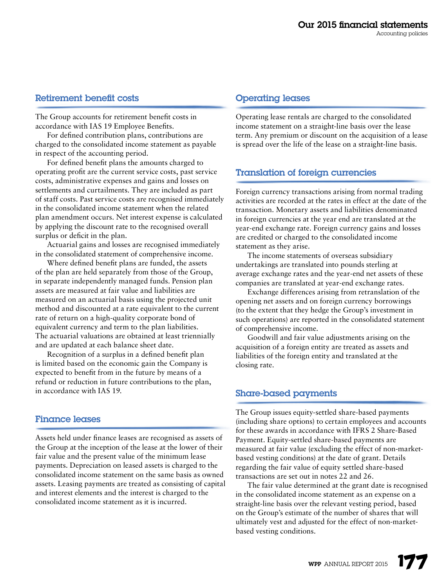#### Retirement benefit costs

The Group accounts for retirement benefit costs in accordance with IAS 19 Employee Benefits.

For defined contribution plans, contributions are charged to the consolidated income statement as payable in respect of the accounting period.

For defined benefit plans the amounts charged to operating profit are the current service costs, past service costs, administrative expenses and gains and losses on settlements and curtailments. They are included as part of staff costs. Past service costs are recognised immediately in the consolidated income statement when the related plan amendment occurs. Net interest expense is calculated by applying the discount rate to the recognised overall surplus or deficit in the plan.

Actuarial gains and losses are recognised immediately in the consolidated statement of comprehensive income.

Where defined benefit plans are funded, the assets of the plan are held separately from those of the Group, in separate independently managed funds. Pension plan assets are measured at fair value and liabilities are measured on an actuarial basis using the projected unit method and discounted at a rate equivalent to the current rate of return on a high-quality corporate bond of equivalent currency and term to the plan liabilities. The actuarial valuations are obtained at least triennially and are updated at each balance sheet date.

Recognition of a surplus in a defined benefit plan is limited based on the economic gain the Company is expected to benefit from in the future by means of a refund or reduction in future contributions to the plan, in accordance with IAS 19.

#### Finance leases

Assets held under finance leases are recognised as assets of the Group at the inception of the lease at the lower of their fair value and the present value of the minimum lease payments. Depreciation on leased assets is charged to the consolidated income statement on the same basis as owned assets. Leasing payments are treated as consisting of capital and interest elements and the interest is charged to the consolidated income statement as it is incurred.

#### Operating leases

Operating lease rentals are charged to the consolidated income statement on a straight-line basis over the lease term. Any premium or discount on the acquisition of a lease is spread over the life of the lease on a straight-line basis.

# Translation of foreign currencies

Foreign currency transactions arising from normal trading activities are recorded at the rates in effect at the date of the transaction. Monetary assets and liabilities denominated in foreign currencies at the year end are translated at the year-end exchange rate. Foreign currency gains and losses are credited or charged to the consolidated income statement as they arise.

The income statements of overseas subsidiary undertakings are translated into pounds sterling at average exchange rates and the year-end net assets of these companies are translated at year-end exchange rates.

Exchange differences arising from retranslation of the opening net assets and on foreign currency borrowings (to the extent that they hedge the Group's investment in such operations) are reported in the consolidated statement of comprehensive income.

Goodwill and fair value adjustments arising on the acquisition of a foreign entity are treated as assets and liabilities of the foreign entity and translated at the closing rate.

#### Share-based payments

The Group issues equity-settled share-based payments (including share options) to certain employees and accounts for these awards in accordance with IFRS 2 Share-Based Payment. Equity-settled share-based payments are measured at fair value (excluding the effect of non-marketbased vesting conditions) at the date of grant. Details regarding the fair value of equity settled share-based transactions are set out in notes 22 and 26.

The fair value determined at the grant date is recognised in the consolidated income statement as an expense on a straight-line basis over the relevant vesting period, based on the Group's estimate of the number of shares that will ultimately vest and adjusted for the effect of non-marketbased vesting conditions.